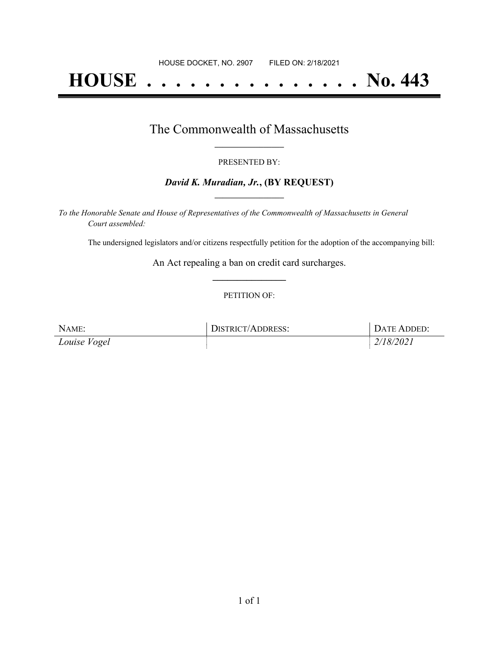# **HOUSE . . . . . . . . . . . . . . . No. 443**

## The Commonwealth of Massachusetts **\_\_\_\_\_\_\_\_\_\_\_\_\_\_\_\_\_**

#### PRESENTED BY:

#### *David K. Muradian, Jr.***, (BY REQUEST) \_\_\_\_\_\_\_\_\_\_\_\_\_\_\_\_\_**

*To the Honorable Senate and House of Representatives of the Commonwealth of Massachusetts in General Court assembled:*

The undersigned legislators and/or citizens respectfully petition for the adoption of the accompanying bill:

An Act repealing a ban on credit card surcharges. **\_\_\_\_\_\_\_\_\_\_\_\_\_\_\_**

#### PETITION OF:

| NAME:        | DISTRICT/ADDRESS: | DATE ADDED: |
|--------------|-------------------|-------------|
| Louise Vogel |                   | 2/18/2021   |